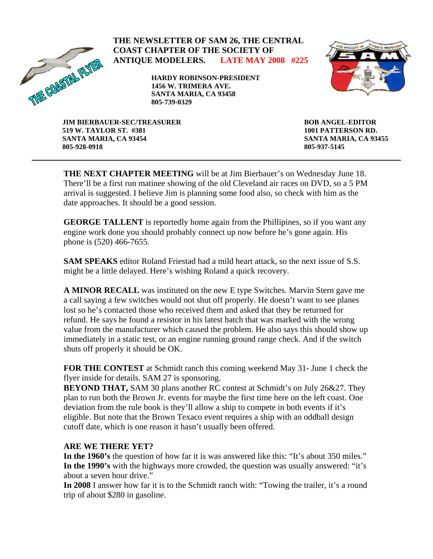

### **THE NEWSLETTER OF SAM 26, THE CENTRAL COAST CHAPTER OF THE SOCIETY OF ANTIQUE MODELERS. LATE MAY 2008 #225**

**HARDY ROBINSON-PRESIDENT 1456 W. TRIMERA AVE. SANTA MARIA, CA 93458 805-739-0329** 



**JIM BIERBAUER-SEC/TREASURER 519 W. TAYLOR ST. #381 SANTA MARIA, CA 93454 805-928-0918** 

**BOB ANGEL-EDITOR 1001 PATTERSON RD. SANTA MARIA, CA 93455 805-937-5145** 

**THE NEXT CHAPTER MEETING** will be at Jim Bierbauer's on Wednesday June 18. There'll be a first run matinee showing of the old Cleveland air races on DVD, so a 5 PM arrival is suggested. I believe Jim is planning some food also, so check with him as the date approaches. It should be a good session.

**GEORGE TALLENT** is reportedly home again from the Phillipines, so if you want any engine work done you should probably connect up now before he's gone again. His phone is (520) 466-7655.

**SAM SPEAKS** editor Roland Friestad had a mild heart attack, so the next issue of S.S. might be a little delayed. Here's wishing Roland a quick recovery.

**A MINOR RECALL** was instituted on the new E type Switches. Marvin Stern gave me a call saying a few switches would not shut off properly. He doesn't want to see planes lost so he's contacted those who received them and asked that they be returned for refund. He says he found a resistor in his latest batch that was marked with the wrong value from the manufacturer which caused the problem. He also says this should show up immediately in a static test, or an engine running ground range check. And if the switch shuts off properly it should be OK.

**FOR THE CONTEST** at Schmidt ranch this coming weekend May 31- June 1 check the flyer inside for details. SAM 27 is sponsoring.

**BEYOND THAT,** SAM 30 plans another RC contest at Schmidt's on July 26&27. They plan to run both the Brown Jr. events for maybe the first time here on the left coast. One deviation from the rule book is they'll allow a ship to compete in both events if it's eligible. But note that the Brown Texaco event requires a ship with an oddball design cutoff date, which is one reason it hasn't usually been offered.

### **ARE WE THERE YET?**

**In the 1960's** the question of how far it is was answered like this: "It's about 350 miles." **In the 1990's** with the highways more crowded, the question was usually answered: "it's about a seven hour drive."

**In 2008** I answer how far it is to the Schmidt ranch with: "Towing the trailer, it's a round trip of about \$280 in gasoline.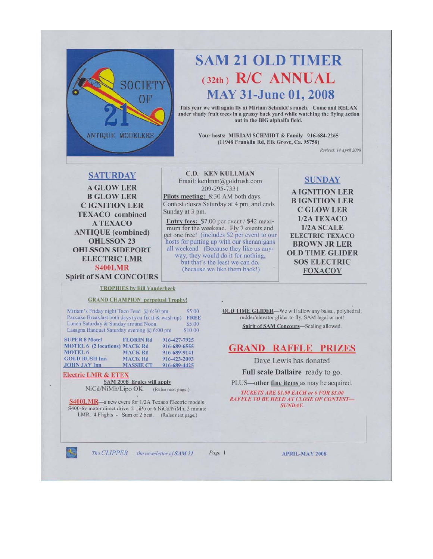

# **SAM 21 OLD TIMER**  $(32th)$  R/C ANNUAL **MAY 31-June 01, 2008**

This year we will again fly at Miriam Schmidt's ranch. Come and RELAX under shady fruit trees in a grassy back yard while watching the flying action out in the BIG alphalfa field.

> Your hosts: MIRIAM SCHMIDT & Family 916-684-2265 (11948 Franklin Rd, Elk Grove, Ca. 95758)

> > Revised: 14 April 2008

### **SATURDAY**

**A GLOW LER B GLOW LER CIGNITION LER TEXACO** combined **ATEXACO ANTIQUE** (combined) **OHLSSON 23 OHLSSON SIDEPORT ELECTRIC LMR S400LMR Spirit of SAM CONCOURS** 

**C.D. KEN KULLMAN** Email: kenlmm@goldrush.com 209-295-7331 Pilots meeting: 8:30 AM both days. Contest closes Saturday at 4 pm, and ends Sunday at 3 pm.

Entry fees: \$7.00 per event / \$42 maximum for the weekend. Fly 7 events and get one free! (includes \$2 per event to our<br>hosts for putting up with our shenanigans all weekend (Because they like us anyway, they would do it for nothing.

but that's the least we can do. (because we like them back!)

### **SUNDAY**

**A IGNITION LER BIGNITION LER C GLOW LER** 1/2A TEXACO  $1/2A$  SCALE **ELECTRIC TEXACO BROWN JR LER OLD TIME GLIDER SOS ELECTRIC FOXACOY** 

### **TROPHIES by Bill Vanderbeek**

### **GRAND CHAMPION** perpetual Trophy!

Miriam's Friday night Taco Feed @ 6:30 pm \$5.00 Pancake Breakfast both days (you fix it & wash up) **FREE** Lunch Saturday & Sunday around Noon \$5.00 Lasagna Banquet Saturday evening @ 6:00 pm \$10.00

| <b>SUPER 8 Motel</b>                 | <b>FLORIN Rd</b> | 916-427-7925 |
|--------------------------------------|------------------|--------------|
| <b>MOTEL 6 (2 locations) MACK Rd</b> |                  | 916-689-6555 |
| <b>MOTEL 6</b>                       | <b>MACK Rd</b>   | 916-689-9141 |
| <b>GOLD RUSH Inn</b>                 | <b>MACK Rd</b>   | 916-423-2003 |
| <b>JOHN JAY Inn</b>                  | <b>MASSIE CT</b> | 916-689-4425 |
|                                      |                  |              |

### **Electric LMR & ETEX**

.

SAM 2008 Erules will apply NiCd/NiMh/Lipo OK. (Rules next page.)

**S400LMR**—a new event for 1/2A Texaco Electric models. S400-6v motor direct drive. 2 LiPo or 6 NiCd/NiMh, 3 minute LMR, 4 Flights - Sum of 2 best. (Rules next page.)

OLD TIME GLIDER-We will allow any balsa, polyhedral, rudder/elevator glider to fly, SAM legal or not! Spirit of SAM Concours-Scaling allowed.

### **GRAND RAFFLE PRIZES**

Dave Lewis has donated

Full scale Dallaire ready to go.

PLUS—other fine items as may be acquired.

TICKETS ARE \$1.00 EACH or 6 FOR \$5.00 **RAFFLE TO BE HELD AT CLOSE OF CONTEST-SUNDAY.** 

The CLIPPER - the newsletter of SAM 21

Page 1

**APRIL-MAY 2008**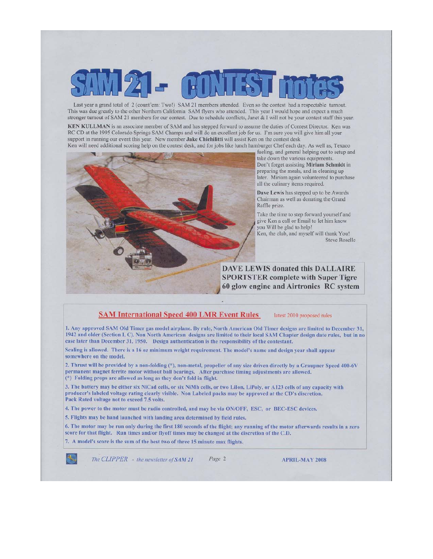Last year a grand total of 2 (count'em: Two!) SAM 21 members attended. Even so the contest had a respectable turnout. This was due greatly to the other Northern California SAM flyers who attended. This year I would hope and expect a much stronger turnout of SAM 21 members for our contest. Due to schedule conflicts, Janet & I will not be your contest staff this year.

KEN KULLMAN is an associate member of SAM and has stepped forward to assume the duties of Contest Director. Ken was RC CD at the 1995 Colorado Springs SAM Champs and will do an excellent job for us. I'm sure you will give him all your support in running our event this year. New member Jake Chichilitti will assist Ken on the contest desk Ken will need additional scoring help on the contest desk, and for jobs like lunch hamburger Chef each day. As well as, Texaco



fueling, and general helping out to setup and take down the various equipments. Don't forget assisting Miriam Schmidt in preparing the meals, and in cleaning up later. Miriam again volunteered to purchase all the culinary items required.

Dave Lewis has stepped up to be Awards Chairman as well as donating the Grand Raffle prize.

Take the time to step forward yourself and give Ken a call or Email to let him know you Will be glad to help! Ken, the club, and myself will thank You!

**Steve Roselle** 

**DAVE LEWIS donated this DALLAIRE SPORTSTER complete with Super Tigre** 60 glow engine and Airtronics RC system

#### **SAM International Speed 400 LMR Event Rules** latest 2010 proposed rules

1. Any approved SAM Old Timer gas model airplane. By rule, North American Old Timer designs are limited to December 31. 1942 and older (Section 1, C). Non North American designs are limited to their local SAM Chapter design date rules, but in no case later than December 31, 1950. Design authentication is the responsibility of the contestant.

Scaling is allowed. There is a 16 oz minimum weight requirement. The model's name and design year shall appear somewhere on the model.

2. Thrust will be provided by a non-folding (\*), non-metal, propeller of any size driven directly by a Graupner Speed 400-6V permanent magnet ferrite motor without ball bearings. After purchase timing adjustments are allowed. (\*) Folding props are allowed as long as they don't fold in flight.

3. The battery may be either six NiCad cells, or six NiMh cells, or two LiIon, LiPoly, or A123 cells of any capacity with producer's labeled voltage rating clearly visible. Non Labeled packs may be approved at the CD's discretion. Pack Rated voltage not to exceed 7.5 volts.

4. The power to the motor must be radio controlled, and may be via ON/OFF, ESC, or BEC-ESC devices.

5. Flights may be hand launched with landing area determined by field rules.

6. The motor may be run only during the first 180 seconds of the flight; any running of the motor afterwards results in a zero score for that flight. Run times and/or flyoff times may be changed at the discretion of the C.D.

7. A model's score is the sum of the best two of three 15 minute max flights.



The CLIPPER - the newsletter of SAM 21

Page 2

**APRIL-MAY 2008**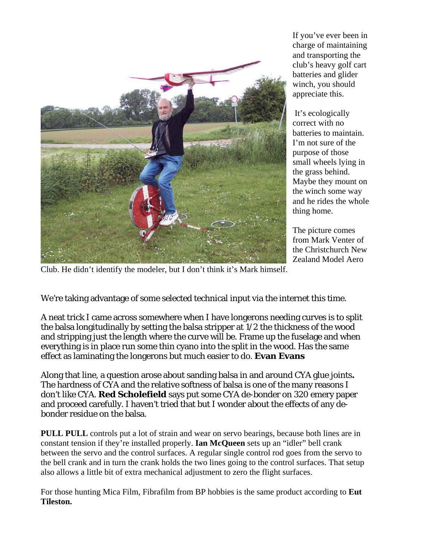

If you've ever been in charge of maintaining and transporting the club's heavy golf cart batteries and glider winch, you should appreciate this.

It's ecologically correct with no batteries to maintain. I'm not sure of the purpose of those small wheels lying in the grass behind. Maybe they mount on the winch some way and he rides the whole thing home.

The picture comes from Mark Venter of the Christchurch New Zealand Model Aero

Club. He didn't identify the modeler, but I don't think it's Mark himself.

We're taking advantage of some selected technical input via the internet this time.

A neat trick I came across somewhere when I have longerons needing curves is to split the balsa longitudinally by setting the balsa stripper at 1/2 the thickness of the wood and stripping just the length where the curve will be. Frame up the fuselage and when everything is in place run some thin cyano into the split in the wood. Has the same effect as laminating the longerons but much easier to do. **Evan Evans**

Along that line, a question arose about sanding balsa in and around CYA glue joints**.**  The hardness of CYA and the relative softness of balsa is one of the many reasons I don't like CYA. **Red Scholefield** says put some CYA de-bonder on 320 emery paper and proceed carefully. I haven't tried that but I wonder about the effects of any debonder residue on the balsa.

**PULL PULL** controls put a lot of strain and wear on servo bearings, because both lines are in constant tension if they're installed properly. **Ian McQueen** sets up an "idler" bell crank between the servo and the control surfaces. A regular single control rod goes from the servo to the bell crank and in turn the crank holds the two lines going to the control surfaces. That setup also allows a little bit of extra mechanical adjustment to zero the flight surfaces.

For those hunting Mica Film, Fibrafilm from BP hobbies is the same product according to **Eut Tileston.**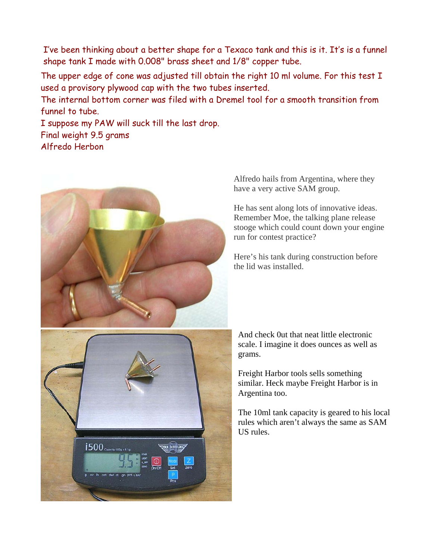I've been thinking about a better shape for a Texaco tank and this is it. It's is a funnel shape tank I made with 0.008" brass sheet and 1/8" copper tube.

The upper edge of cone was adjusted till obtain the right 10 ml volume. For this test I used a provisory plywood cap with the two tubes inserted.

The internal bottom corner was filed with a Dremel tool for a smooth transition from funnel to tube.

I suppose my PAW will suck till the last drop. Final weight 9.5 grams Alfredo Herbon



Alfredo hails from Argentina, where they have a very active SAM group.

He has sent along lots of innovative ideas. Remember Moe, the talking plane release stooge which could count down your engine run for contest practice?

Here's his tank during construction before the lid was installed.

And check 0ut that neat little electronic scale. I imagine it does ounces as well as grams.

Freight Harbor tools sells something similar. Heck maybe Freight Harbor is in Argentina too.

The 10ml tank capacity is geared to his local rules which aren't always the same as SAM US rules.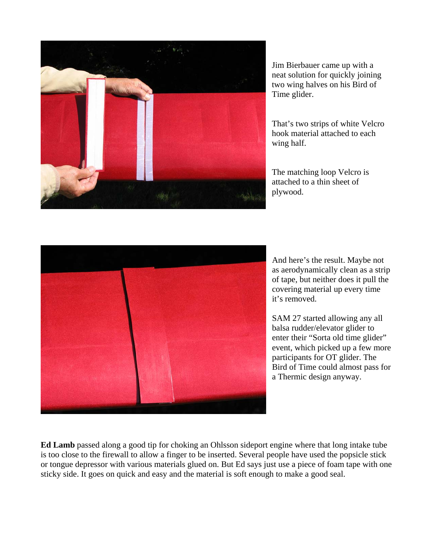

Jim Bierbauer came up with a neat solution for quickly joining two wing halves on his Bird of Time glider.

That's two strips of white Velcro hook material attached to each wing half.

The matching loop Velcro is attached to a thin sheet of plywood.



And here's the result. Maybe not as aerodynamically clean as a strip of tape, but neither does it pull the covering material up every time it's removed.

SAM 27 started allowing any all balsa rudder/elevator glider to enter their "Sorta old time glider" event, which picked up a few more participants for OT glider. The Bird of Time could almost pass for a Thermic design anyway.

**Ed Lamb** passed along a good tip for choking an Ohlsson sideport engine where that long intake tube is too close to the firewall to allow a finger to be inserted. Several people have used the popsicle stick or tongue depressor with various materials glued on. But Ed says just use a piece of foam tape with one sticky side. It goes on quick and easy and the material is soft enough to make a good seal.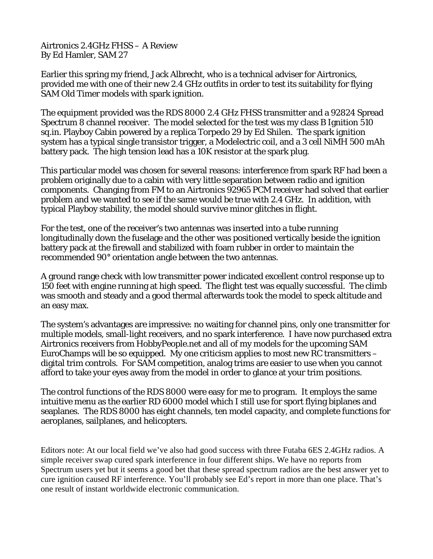Airtronics 2.4GHz FHSS – A Review By Ed Hamler, SAM 27

Earlier this spring my friend, Jack Albrecht, who is a technical adviser for Airtronics, provided me with one of their new 2.4 GHz outfits in order to test its suitability for flying SAM Old Timer models with spark ignition.

The equipment provided was the RDS 8000 2.4 GHz FHSS transmitter and a 92824 Spread Spectrum 8 channel receiver. The model selected for the test was my class B Ignition 510 sq.in. Playboy Cabin powered by a replica Torpedo 29 by Ed Shilen. The spark ignition system has a typical single transistor trigger, a Modelectric coil, and a 3 cell NiMH 500 mAh battery pack. The high tension lead has a 10K resistor at the spark plug.

This particular model was chosen for several reasons: interference from spark RF had been a problem originally due to a cabin with very little separation between radio and ignition components. Changing from FM to an Airtronics 92965 PCM receiver had solved that earlier problem and we wanted to see if the same would be true with 2.4 GHz. In addition, with typical Playboy stability, the model should survive minor glitches in flight.

For the test, one of the receiver's two antennas was inserted into a tube running longitudinally down the fuselage and the other was positioned vertically beside the ignition battery pack at the firewall and stabilized with foam rubber in order to maintain the recommended 90° orientation angle between the two antennas.

A ground range check with low transmitter power indicated excellent control response up to 150 feet with engine running at high speed. The flight test was equally successful. The climb was smooth and steady and a good thermal afterwards took the model to speck altitude and an easy max.

The system's advantages are impressive: no waiting for channel pins, only one transmitter for multiple models, small-light receivers, and no spark interference. I have now purchased extra Airtronics receivers from HobbyPeople.net and all of my models for the upcoming SAM EuroChamps will be so equipped. My one criticism applies to most new RC transmitters – digital trim controls. For SAM competition, analog trims are easier to use when you cannot afford to take your eyes away from the model in order to glance at your trim positions.

The control functions of the RDS 8000 were easy for me to program. It employs the same intuitive menu as the earlier RD 6000 model which I still use for sport flying biplanes and seaplanes. The RDS 8000 has eight channels, ten model capacity, and complete functions for aeroplanes, sailplanes, and helicopters.

Editors note: At our local field we've also had good success with three Futaba 6ES 2.4GHz radios. A simple receiver swap cured spark interference in four different ships. We have no reports from Spectrum users yet but it seems a good bet that these spread spectrum radios are the best answer yet to cure ignition caused RF interference. You'll probably see Ed's report in more than one place. That's one result of instant worldwide electronic communication.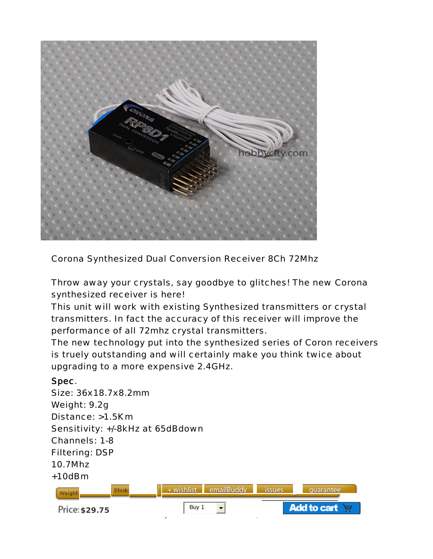

Corona Synthesized Dual Conversion Receiver 8Ch 72Mhz

Throw away your crystals, say goodbye to glitches! The new Corona synthesized receiver is here!

This unit will work with existing Synthesized transmitters or crystal transmitters. In fact the accuracy of this receiver will improve the performance of all 72mhz crystal transmitters.

The new technology put into the synthesized series of Coron receivers is truely outstanding and will certainly make you think twice about upgrading to a more expensive 2.4GHz.

## Spec.

Size: 36x18.7x8.2mm Weight: 9.2g Distance: >1.5Km Sensitivity: +/-8kHz at 65dBdown Channels: 1-8 Filtering: DSP 10.7Mhz +10dBm emailBuddy  $+$  wishlist issues quarantee **79g 411** Weigh **Add to cart Price: \$29.75** Buy 1  $\blacksquare$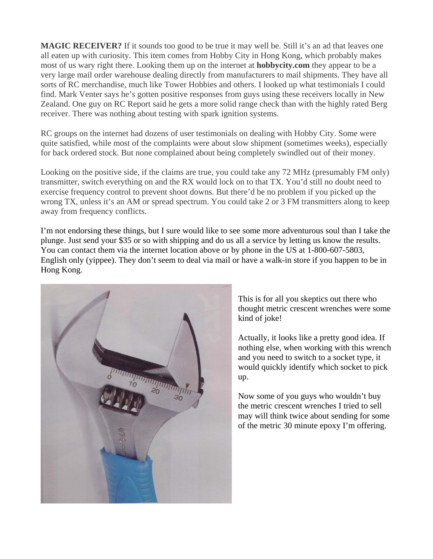**MAGIC RECEIVER?** If it sounds too good to be true it may well be. Still it's an ad that leaves one all eaten up with curiosity. This item comes from Hobby City in Hong Kong, which probably makes most of us wary right there. Looking them up on the internet at **hobbycity.com** they appear to be a very large mail order warehouse dealing directly from manufacturers to mail shipments. They have all sorts of RC merchandise, much like Tower Hobbies and others. I looked up what testimonials I could find. Mark Venter says he's gotten positive responses from guys using these receivers locally in New Zealand. One guy on RC Report said he gets a more solid range check than with the highly rated Berg receiver. There was nothing about testing with spark ignition systems.

RC groups on the internet had dozens of user testimonials on dealing with Hobby City. Some were quite satisfied, while most of the complaints were about slow shipment (sometimes weeks), especially for back ordered stock. But none complained about being completely swindled out of their money.

Looking on the positive side, if the claims are true, you could take any 72 MHz (presumably FM only) transmitter, switch everything on and the RX would lock on to that TX. You'd still no doubt need to exercise frequency control to prevent shoot downs. But there'd be no problem if you picked up the wrong TX, unless it's an AM or spread spectrum. You could take 2 or 3 FM transmitters along to keep away from frequency conflicts.

I'm not endorsing these things, but I sure would like to see some more adventurous soul than I take the plunge. Just send your \$35 or so with shipping and do us all a service by letting us know the results. You can contact them via the internet location above or by phone in the US at 1-800-607-5803, English only (yippee). They don't seem to deal via mail or have a walk-in store if you happen to be in Hong Kong.



This is for all you skeptics out there who thought metric crescent wrenches were some kind of joke!

Actually, it looks like a pretty good idea. If nothing else, when working with this wrench and you need to switch to a socket type, it would quickly identify which socket to pick up.

Now some of you guys who wouldn't buy the metric crescent wrenches I tried to sell may will think twice about sending for some of the metric 30 minute epoxy I'm offering.